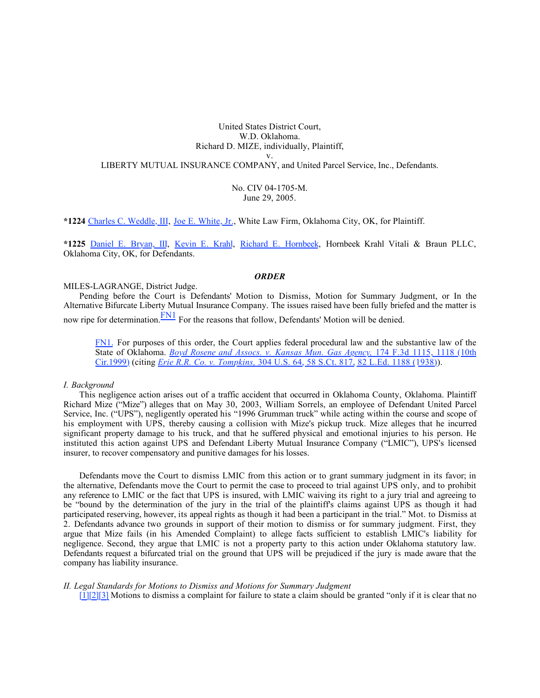# United States District Court, W.D. Oklahoma. Richard D. MIZE, individually, Plaintiff,

v.

LIBERTY MUTUAL INSURANCE COMPANY, and United Parcel Service, Inc., Defendants.

No. CIV 04-1705-M. June 29, 2005.

**\*1224** [Charles C. Weddle, III](http://www.westlaw.com/Find/Default.wl?rs=dfa1.0&vr=2.0&DB=PROFILER-WLD&DocName=0342802101&FindType=h), [Joe E. White, Jr.](http://www.westlaw.com/Find/Default.wl?rs=dfa1.0&vr=2.0&DB=PROFILER-WLD&DocName=0210936001&FindType=h), White Law Firm, Oklahoma City, OK, for Plaintiff.

**\*1225** [Daniel E. Bryan, III,](http://www.westlaw.com/Find/Default.wl?rs=dfa1.0&vr=2.0&DB=PROFILER-WLD&DocName=0342375201&FindType=h) [Kevin E. Krahl](http://www.westlaw.com/Find/Default.wl?rs=dfa1.0&vr=2.0&DB=PROFILER-WLD&DocName=0200151501&FindType=h), [Richard E. Hornbeek](http://www.westlaw.com/Find/Default.wl?rs=dfa1.0&vr=2.0&DB=PROFILER-WLD&DocName=0190295601&FindType=h), Hornbeek Krahl Vitali & Braun PLLC, Oklahoma City, OK, for Defendants.

## *ORDER*

### MILES-LAGRANGE, District Judge.

Pending before the Court is Defendants' Motion to Dismiss, Motion for Summary Judgment, or In the Alternative Bifurcate Liberty Mutual Insurance Company. The issues raised have been fully briefed and the matter is now ripe for determination. $\frac{FN1}{FN}$  $\frac{FN1}{FN}$  $\frac{FN1}{FN}$  For the reasons that follow, Defendants' Motion will be denied.

[FN1.](%5Cl%20%22Document1zzF00112006879562%22) For purposes of this order, the Court applies federal procedural law and the substantive law of the State of Oklahoma. *[Boyd Rosene and Assocs. v. Kansas Mun. Gas Agency,](http://www.westlaw.com/Find/Default.wl?rs=dfa1.0&vr=2.0&DB=506&FindType=Y&ReferencePositionType=S&SerialNum=1999101107&ReferencePosition=1118)* [174 F.3d 1115, 1118 \(10th](http://www.westlaw.com/Find/Default.wl?rs=dfa1.0&vr=2.0&DB=506&FindType=Y&ReferencePositionType=S&SerialNum=1999101107&ReferencePosition=1118) [Cir.1999\)](http://www.westlaw.com/Find/Default.wl?rs=dfa1.0&vr=2.0&DB=506&FindType=Y&ReferencePositionType=S&SerialNum=1999101107&ReferencePosition=1118) (citing *[Erie R.R. Co. v. Tompkins,](http://www.westlaw.com/Find/Default.wl?rs=dfa1.0&vr=2.0&DB=708&FindType=Y&SerialNum=1938121079)* [304 U.S. 64, 58 S.Ct. 817, 82 L.Ed. 1188 \(1938\)](http://www.westlaw.com/Find/Default.wl?rs=dfa1.0&vr=2.0&DB=708&FindType=Y&SerialNum=1938121079)).

#### *I. Background*

This negligence action arises out of a traffic accident that occurred in Oklahoma County, Oklahoma. Plaintiff Richard Mize ("Mize") alleges that on May 30, 2003, William Sorrels, an employee of Defendant United Parcel Service, Inc. ("UPS"), negligently operated his "1996 Grumman truck" while acting within the course and scope of his employment with UPS, thereby causing a collision with Mize's pickup truck. Mize alleges that he incurred significant property damage to his truck, and that he suffered physical and emotional injuries to his person. He instituted this action against UPS and Defendant Liberty Mutual Insurance Company ("LMIC"), UPS's licensed insurer, to recover compensatory and punitive damages for his losses.

Defendants move the Court to dismiss LMIC from this action or to grant summary judgment in its favor; in the alternative, Defendants move the Court to permit the case to proceed to trial against UPS only, and to prohibit any reference to LMIC or the fact that UPS is insured, with LMIC waiving its right to a jury trial and agreeing to be "bound by the determination of the jury in the trial of the plaintiff's claims against UPS as though it had participated reserving, however, its appeal rights as though it had been a participant in the trial." Mot. to Dismiss at 2. Defendants advance two grounds in support of their motion to dismiss or for summary judgment. First, they argue that Mize fails (in his Amended Complaint) to allege facts sufficient to establish LMIC's liability for negligence. Second, they argue that LMIC is not a property party to this action under Oklahoma statutory law. Defendants request a bifurcated trial on the ground that UPS will be prejudiced if the jury is made aware that the company has liability insurance.

### *II. Legal Standards for Motions to Dismiss and Motions for Summary Judgment*

[\[1\]](%5Cl%20%22Document1zzF12006879562%22)[\[2\]](%5Cl%20%22Document1zzF22006879562%22)[\[3\]](%5Cl%20%22Document1zzF32006879562%22) Motions to dismiss a complaint for failure to state a claim should be granted "only if it is clear that no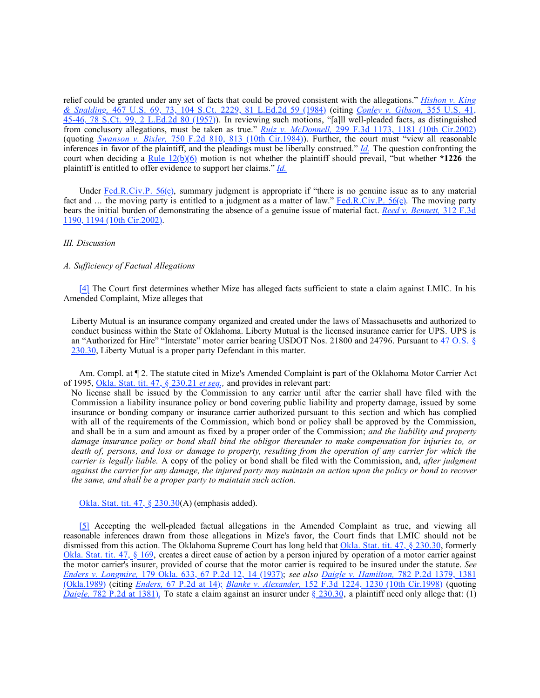relief could be granted under any set of facts that could be proved consistent with the allegations." *[Hishon v. King](http://www.westlaw.com/Find/Default.wl?rs=dfa1.0&vr=2.0&DB=708&FindType=Y&SerialNum=1984124905) [& Spalding,](http://www.westlaw.com/Find/Default.wl?rs=dfa1.0&vr=2.0&DB=708&FindType=Y&SerialNum=1984124905)* [467 U.S. 69, 73, 104 S.Ct. 2229, 81 L.Ed.2d 59 \(1984\)](http://www.westlaw.com/Find/Default.wl?rs=dfa1.0&vr=2.0&DB=708&FindType=Y&SerialNum=1984124905) (citing *[Conley v. Gibson,](http://www.westlaw.com/Find/Default.wl?rs=dfa1.0&vr=2.0&DB=708&FindType=Y&SerialNum=1957120403)* [355 U.S. 41,](http://www.westlaw.com/Find/Default.wl?rs=dfa1.0&vr=2.0&DB=708&FindType=Y&SerialNum=1957120403) [45-46, 78 S.Ct. 99, 2 L.Ed.2d 80 \(1957\)\)](http://www.westlaw.com/Find/Default.wl?rs=dfa1.0&vr=2.0&DB=708&FindType=Y&SerialNum=1957120403). In reviewing such motions, "[a]ll well-pleaded facts, as distinguished from conclusory allegations, must be taken as true." *[Ruiz v. McDonnell,](http://www.westlaw.com/Find/Default.wl?rs=dfa1.0&vr=2.0&DB=506&FindType=Y&ReferencePositionType=S&SerialNum=2002500247&ReferencePosition=1181)* [299 F.3d 1173, 1181 \(10th Cir.2002\)](http://www.westlaw.com/Find/Default.wl?rs=dfa1.0&vr=2.0&DB=506&FindType=Y&ReferencePositionType=S&SerialNum=2002500247&ReferencePosition=1181) (quoting *[Swanson v. Bixler,](http://www.westlaw.com/Find/Default.wl?rs=dfa1.0&vr=2.0&DB=350&FindType=Y&ReferencePositionType=S&SerialNum=1984157863&ReferencePosition=813)* [750 F.2d 810, 813 \(10th Cir.1984\)](http://www.westlaw.com/Find/Default.wl?rs=dfa1.0&vr=2.0&DB=350&FindType=Y&ReferencePositionType=S&SerialNum=1984157863&ReferencePosition=813)). Further, the court must "view all reasonable inferences in favor of the plaintiff, and the pleadings must be liberally construed." *[Id.](http://www.westlaw.com/Find/Default.wl?rs=dfa1.0&vr=2.0&FindType=Y&SerialNum=2002500247)* The question confronting the court when deciding a [Rule 12\(b\)\(6\)](http://www.westlaw.com/Find/Default.wl?rs=dfa1.0&vr=2.0&DB=1004365&DocName=USFRCPR12&FindType=L) motion is not whether the plaintiff should prevail, "but whether **\*1226** the plaintiff is entitled to offer evidence to support her claims." *[Id.](http://www.westlaw.com/Find/Default.wl?rs=dfa1.0&vr=2.0&FindType=Y&SerialNum=2002500247)*

Under [Fed.R.Civ.P. 56\(c\),](http://www.westlaw.com/Find/Default.wl?rs=dfa1.0&vr=2.0&DB=1004365&DocName=USFRCPR56&FindType=L) summary judgment is appropriate if "there is no genuine issue as to any material fact and ... the moving party is entitled to a judgment as a matter of law." [Fed.R.Civ.P. 56\(c\)](http://www.westlaw.com/Find/Default.wl?rs=dfa1.0&vr=2.0&DB=1004365&DocName=USFRCPR56&FindType=L). The moving party bears the initial burden of demonstrating the absence of a genuine issue of material fact. *[Reed v. Bennett,](http://www.westlaw.com/Find/Default.wl?rs=dfa1.0&vr=2.0&DB=506&FindType=Y&ReferencePositionType=S&SerialNum=2002763315&ReferencePosition=1194)* [312 F.3d](http://www.westlaw.com/Find/Default.wl?rs=dfa1.0&vr=2.0&DB=506&FindType=Y&ReferencePositionType=S&SerialNum=2002763315&ReferencePosition=1194)  [1190, 1194 \(10th Cir.2002\)](http://www.westlaw.com/Find/Default.wl?rs=dfa1.0&vr=2.0&DB=506&FindType=Y&ReferencePositionType=S&SerialNum=2002763315&ReferencePosition=1194).

### *III. Discussion*

## *A. Sufficiency of Factual Allegations*

[\[4\]](%5Cl%20%22Document1zzF42006879562%22) The Court first determines whether Mize has alleged facts sufficient to state a claim against LMIC. In his Amended Complaint, Mize alleges that

Liberty Mutual is an insurance company organized and created under the laws of Massachusetts and authorized to conduct business within the State of Oklahoma. Liberty Mutual is the licensed insurance carrier for UPS. UPS is an "Authorized for Hire" "Interstate" motor carrier bearing USDOT Nos. 21800 and 24796. Pursuant to [47 O.S. §](http://www.westlaw.com/Find/Default.wl?rs=dfa1.0&vr=2.0&DB=1000165&DocName=OKSTT47S230.30&FindType=L)  [230.30](http://www.westlaw.com/Find/Default.wl?rs=dfa1.0&vr=2.0&DB=1000165&DocName=OKSTT47S230.30&FindType=L), Liberty Mutual is a proper party Defendant in this matter.

Am. Compl. at ¶ 2. The statute cited in Mize's Amended Complaint is part of the Oklahoma Motor Carrier Act of 1995, [Okla. Stat. tit. 47, § 230.21](http://www.westlaw.com/Find/Default.wl?rs=dfa1.0&vr=2.0&DB=1000165&DocName=OKSTT47S230.21&FindType=L) *[et seq.](http://www.westlaw.com/Find/Default.wl?rs=dfa1.0&vr=2.0&DB=1000165&DocName=OKSTT47S230.21&FindType=L),* and provides in relevant part:

No license shall be issued by the Commission to any carrier until after the carrier shall have filed with the Commission a liability insurance policy or bond covering public liability and property damage, issued by some insurance or bonding company or insurance carrier authorized pursuant to this section and which has complied with all of the requirements of the Commission, which bond or policy shall be approved by the Commission, and shall be in a sum and amount as fixed by a proper order of the Commission; *and the liability and property damage insurance policy or bond shall bind the obligor thereunder to make compensation for injuries to, or death of, persons, and loss or damage to property, resulting from the operation of any carrier for which the carrier is legally liable.* A copy of the policy or bond shall be filed with the Commission, and, *after judgment against the carrier for any damage, the injured party may maintain an action upon the policy or bond to recover the same, and shall be a proper party to maintain such action.*

[Okla. Stat. tit. 47, § 230.30](http://www.westlaw.com/Find/Default.wl?rs=dfa1.0&vr=2.0&DB=1000165&DocName=OKSTT47S230.30&FindType=L)(A) (emphasis added).

[\[5\]](%5Cl%20%22Document1zzF52006879562%22) Accepting the well-pleaded factual allegations in the Amended Complaint as true, and viewing all reasonable inferences drawn from those allegations in Mize's favor, the Court finds that LMIC should not be dismissed from this action. The Oklahoma Supreme Court has long held that [Okla. Stat. tit. 47, § 230.30](http://www.westlaw.com/Find/Default.wl?rs=dfa1.0&vr=2.0&DB=1000165&DocName=OKSTT47S230.30&FindType=L), formerly [Okla. Stat. tit. 47, § 169](http://www.westlaw.com/Find/Default.wl?rs=dfa1.0&vr=2.0&DB=1000165&DocName=OKSTT47S169&FindType=L), creates a direct cause of action by a person injured by operation of a motor carrier against the motor carrier's insurer, provided of course that the motor carrier is required to be insured under the statute. *See [Enders v. Longmire,](http://www.westlaw.com/Find/Default.wl?rs=dfa1.0&vr=2.0&DB=661&FindType=Y&ReferencePositionType=S&SerialNum=1937120505&ReferencePosition=14)* [179 Okla. 633, 67 P.2d 12, 14 \(1937\);](http://www.westlaw.com/Find/Default.wl?rs=dfa1.0&vr=2.0&DB=661&FindType=Y&ReferencePositionType=S&SerialNum=1937120505&ReferencePosition=14) *see also [Daigle v. Hamilton,](http://www.westlaw.com/Find/Default.wl?rs=dfa1.0&vr=2.0&DB=661&FindType=Y&ReferencePositionType=S&SerialNum=1989146907&ReferencePosition=1381)* [782 P.2d 1379, 1381](http://www.westlaw.com/Find/Default.wl?rs=dfa1.0&vr=2.0&DB=661&FindType=Y&ReferencePositionType=S&SerialNum=1989146907&ReferencePosition=1381) [\(Okla.1989\)](http://www.westlaw.com/Find/Default.wl?rs=dfa1.0&vr=2.0&DB=661&FindType=Y&ReferencePositionType=S&SerialNum=1989146907&ReferencePosition=1381) (citing *[Enders,](http://www.westlaw.com/Find/Default.wl?rs=dfa1.0&vr=2.0&DB=661&FindType=Y&ReferencePositionType=S&SerialNum=1937120505&ReferencePosition=14)* [67 P.2d at 14\);](http://www.westlaw.com/Find/Default.wl?rs=dfa1.0&vr=2.0&DB=661&FindType=Y&ReferencePositionType=S&SerialNum=1937120505&ReferencePosition=14) *[Blanke v. Alexander,](http://www.westlaw.com/Find/Default.wl?rs=dfa1.0&vr=2.0&DB=506&FindType=Y&ReferencePositionType=S&SerialNum=1998164735&ReferencePosition=1230)* [152 F.3d 1224, 1230 \(10th Cir.1998\)](http://www.westlaw.com/Find/Default.wl?rs=dfa1.0&vr=2.0&DB=506&FindType=Y&ReferencePositionType=S&SerialNum=1998164735&ReferencePosition=1230) (quoting *[Daigle,](http://www.westlaw.com/Find/Default.wl?rs=dfa1.0&vr=2.0&DB=661&FindType=Y&ReferencePositionType=S&SerialNum=1989146907&ReferencePosition=1381)* [782 P.2d at 1381\).](http://www.westlaw.com/Find/Default.wl?rs=dfa1.0&vr=2.0&DB=661&FindType=Y&ReferencePositionType=S&SerialNum=1989146907&ReferencePosition=1381) To state a claim against an insurer under [§ 230.30,](http://www.westlaw.com/Find/Default.wl?rs=dfa1.0&vr=2.0&DB=1000165&DocName=OKSTT47S230.30&FindType=L) a plaintiff need only allege that: (1)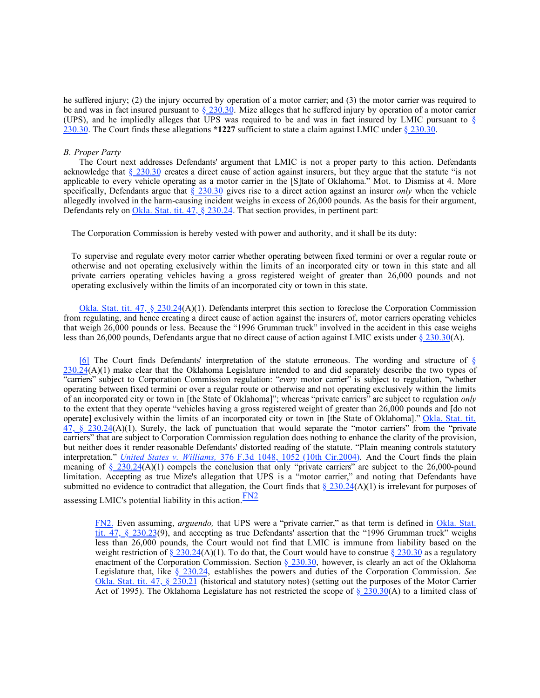he suffered injury; (2) the injury occurred by operation of a motor carrier; and (3) the motor carrier was required to be and was in fact insured pursuant to  $\S$  230.30. Mize alleges that he suffered injury by operation of a motor carrier (UPS), and he impliedly alleges that UPS was required to be and was in fact insured by LMIC pursuant to [§](http://www.westlaw.com/Find/Default.wl?rs=dfa1.0&vr=2.0&DB=1000165&DocName=OKSTT47S230.30&FindType=L) [230.30](http://www.westlaw.com/Find/Default.wl?rs=dfa1.0&vr=2.0&DB=1000165&DocName=OKSTT47S230.30&FindType=L). The Court finds these allegations **\*1227** sufficient to state a claim against LMIC under [§ 230.30](http://www.westlaw.com/Find/Default.wl?rs=dfa1.0&vr=2.0&DB=1000165&DocName=OKSTT47S230.30&FindType=L).

### *B. Proper Party*

The Court next addresses Defendants' argument that LMIC is not a proper party to this action. Defendants acknowledge that  $\S 230.30$  creates a direct cause of action against insurers, but they argue that the statute "is not applicable to every vehicle operating as a motor carrier in the [S]tate of Oklahoma." Mot. to Dismiss at 4. More specifically, Defendants argue that [§ 230.30](http://www.westlaw.com/Find/Default.wl?rs=dfa1.0&vr=2.0&DB=1000165&DocName=OKSTT47S230.30&FindType=L) gives rise to a direct action against an insurer *only* when the vehicle allegedly involved in the harm-causing incident weighs in excess of 26,000 pounds. As the basis for their argument, Defendants rely on [Okla. Stat. tit. 47, § 230.24](http://www.westlaw.com/Find/Default.wl?rs=dfa1.0&vr=2.0&DB=1000165&DocName=OKSTT47S230.24&FindType=L). That section provides, in pertinent part:

The Corporation Commission is hereby vested with power and authority, and it shall be its duty:

To supervise and regulate every motor carrier whether operating between fixed termini or over a regular route or otherwise and not operating exclusively within the limits of an incorporated city or town in this state and all private carriers operating vehicles having a gross registered weight of greater than 26,000 pounds and not operating exclusively within the limits of an incorporated city or town in this state.

[Okla. Stat. tit. 47, § 230.24](http://www.westlaw.com/Find/Default.wl?rs=dfa1.0&vr=2.0&DB=1000165&DocName=OKSTT47S230.24&FindType=L)(A)(1). Defendants interpret this section to foreclose the Corporation Commission from regulating, and hence creating a direct cause of action against the insurers of, motor carriers operating vehicles that weigh 26,000 pounds or less. Because the "1996 Grumman truck" involved in the accident in this case weighs less than 26,000 pounds, Defendants argue that no direct cause of action against LMIC exists under [§ 230.30](http://www.westlaw.com/Find/Default.wl?rs=dfa1.0&vr=2.0&DB=1000165&DocName=OKSTT47S230.30&FindType=L)(A).

[\[6\]](%5Cl%20%22Document1zzF62006879562%22) The Court finds Defendants' interpretation of the statute erroneous. The wording and structure of [§](http://www.westlaw.com/Find/Default.wl?rs=dfa1.0&vr=2.0&DB=1000165&DocName=OKSTT47S230.24&FindType=L)  $230.24(A)(1)$  $230.24(A)(1)$  make clear that the Oklahoma Legislature intended to and did separately describe the two types of "carriers" subject to Corporation Commission regulation: "*every* motor carrier" is subject to regulation, "whether operating between fixed termini or over a regular route or otherwise and not operating exclusively within the limits of an incorporated city or town in [the State of Oklahoma]"; whereas "private carriers" are subject to regulation *only* to the extent that they operate "vehicles having a gross registered weight of greater than 26,000 pounds and [do not operate] exclusively within the limits of an incorporated city or town in [the State of Oklahoma]." [Okla. Stat. tit.](http://www.westlaw.com/Find/Default.wl?rs=dfa1.0&vr=2.0&DB=1000165&DocName=OKSTT47S230.24&FindType=L) [47, § 230.24\(](http://www.westlaw.com/Find/Default.wl?rs=dfa1.0&vr=2.0&DB=1000165&DocName=OKSTT47S230.24&FindType=L)A)(1). Surely, the lack of punctuation that would separate the "motor carriers" from the "private carriers" that are subject to Corporation Commission regulation does nothing to enhance the clarity of the provision, but neither does it render reasonable Defendants' distorted reading of the statute. "Plain meaning controls statutory interpretation." *[United States v. Williams,](http://www.westlaw.com/Find/Default.wl?rs=dfa1.0&vr=2.0&DB=506&FindType=Y&ReferencePositionType=S&SerialNum=2004731238&ReferencePosition=1052)* [376 F.3d 1048, 1052 \(10th Cir.2004\).](http://www.westlaw.com/Find/Default.wl?rs=dfa1.0&vr=2.0&DB=506&FindType=Y&ReferencePositionType=S&SerialNum=2004731238&ReferencePosition=1052) And the Court finds the plain meaning of [§ 230.24](http://www.westlaw.com/Find/Default.wl?rs=dfa1.0&vr=2.0&DB=1000165&DocName=OKSTT47S230.24&FindType=L)(A)(1) compels the conclusion that only "private carriers" are subject to the 26,000-pound limitation. Accepting as true Mize's allegation that UPS is a "motor carrier," and noting that Defendants have submitted no evidence to contradict that allegation, the Court finds that  $\S 230.24(A)(1)$  is irrelevant for purposes of assessing LMIC's potential liability in this action. $\frac{\text{FN2}}{\text{FN2}}$  $\frac{\text{FN2}}{\text{FN2}}$  $\frac{\text{FN2}}{\text{FN2}}$ 

[FN2.](%5Cl%20%22Document1zzF00222006879562%22) Even assuming, *arguendo,* that UPS were a "private carrier," as that term is defined in [Okla. Stat.](http://www.westlaw.com/Find/Default.wl?rs=dfa1.0&vr=2.0&DB=1000165&DocName=OKSTT47S230.23&FindType=L) [tit. 47, § 230.23](http://www.westlaw.com/Find/Default.wl?rs=dfa1.0&vr=2.0&DB=1000165&DocName=OKSTT47S230.23&FindType=L)(9), and accepting as true Defendants' assertion that the "1996 Grumman truck" weighs less than 26,000 pounds, the Court would not find that LMIC is immune from liability based on the weight restriction of  $\S 230.24(A)(1)$ . To do that, the Court would have to construe  $\S 230.30$  as a regulatory enactment of the Corporation Commission. Section [§ 230.30,](http://www.westlaw.com/Find/Default.wl?rs=dfa1.0&vr=2.0&DB=1000165&DocName=OKSTT47S230.30&FindType=L) however, is clearly an act of the Oklahoma Legislature that, like [§ 230.24,](http://www.westlaw.com/Find/Default.wl?rs=dfa1.0&vr=2.0&DB=1000165&DocName=OKSTT47S230.24&FindType=L) establishes the powers and duties of the Corporation Commission. *See* [Okla. Stat. tit. 47, § 230.21](http://www.westlaw.com/Find/Default.wl?rs=dfa1.0&vr=2.0&DB=1000165&DocName=OKSTT47S230.21&FindType=L) (historical and statutory notes) (setting out the purposes of the Motor Carrier Act of 1995). The Oklahoma Legislature has not restricted the scope of  $\S$  230.30(A) to a limited class of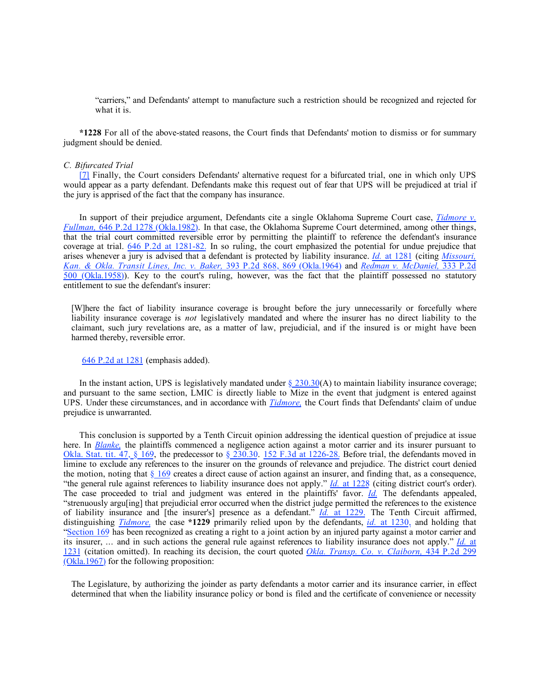"carriers," and Defendants' attempt to manufacture such a restriction should be recognized and rejected for what it is.

**\*1228** For all of the above-stated reasons, the Court finds that Defendants' motion to dismiss or for summary judgment should be denied.

### *C. Bifurcated Trial*

[\[7\]](%5Cl%20%22Document1zzF72006879562%22) Finally, the Court considers Defendants' alternative request for a bifurcated trial, one in which only UPS would appear as a party defendant. Defendants make this request out of fear that UPS will be prejudiced at trial if the jury is apprised of the fact that the company has insurance.

In support of their prejudice argument, Defendants cite a single Oklahoma Supreme Court case, *[Tidmore v.](http://www.westlaw.com/Find/Default.wl?rs=dfa1.0&vr=2.0&DB=661&FindType=Y&SerialNum=1982127585) [Fullman,](http://www.westlaw.com/Find/Default.wl?rs=dfa1.0&vr=2.0&DB=661&FindType=Y&SerialNum=1982127585)* [646 P.2d 1278 \(Okla.1982\).](http://www.westlaw.com/Find/Default.wl?rs=dfa1.0&vr=2.0&DB=661&FindType=Y&SerialNum=1982127585) In that case, the Oklahoma Supreme Court determined, among other things, that the trial court committed reversible error by permitting the plaintiff to reference the defendant's insurance coverage at trial. [646 P.2d at 1281-82.](http://www.westlaw.com/Find/Default.wl?rs=dfa1.0&vr=2.0&DB=661&FindType=Y&ReferencePositionType=S&SerialNum=1982127585&ReferencePosition=1281) In so ruling, the court emphasized the potential for undue prejudice that arises whenever a jury is advised that a defendant is protected by liability insurance. *[Id.](http://www.westlaw.com/Find/Default.wl?rs=dfa1.0&vr=2.0&FindType=Y&SerialNum=1982127585)* [at 1281](http://www.westlaw.com/Find/Default.wl?rs=dfa1.0&vr=2.0&FindType=Y&SerialNum=1982127585) (citing *[Missouri,](http://www.westlaw.com/Find/Default.wl?rs=dfa1.0&vr=2.0&DB=661&FindType=Y&ReferencePositionType=S&SerialNum=1964123753&ReferencePosition=869)  [Kan. & Okla. Transit Lines, Inc. v. Baker,](http://www.westlaw.com/Find/Default.wl?rs=dfa1.0&vr=2.0&DB=661&FindType=Y&ReferencePositionType=S&SerialNum=1964123753&ReferencePosition=869)* [393 P.2d 868, 869 \(Okla.1964\)](http://www.westlaw.com/Find/Default.wl?rs=dfa1.0&vr=2.0&DB=661&FindType=Y&ReferencePositionType=S&SerialNum=1964123753&ReferencePosition=869) and *[Redman v. McDaniel,](http://www.westlaw.com/Find/Default.wl?rs=dfa1.0&vr=2.0&DB=661&FindType=Y&SerialNum=1959120739)* [333 P.2d](http://www.westlaw.com/Find/Default.wl?rs=dfa1.0&vr=2.0&DB=661&FindType=Y&SerialNum=1959120739)  [500 \(Okla.1958\)\)](http://www.westlaw.com/Find/Default.wl?rs=dfa1.0&vr=2.0&DB=661&FindType=Y&SerialNum=1959120739). Key to the court's ruling, however, was the fact that the plaintiff possessed no statutory entitlement to sue the defendant's insurer:

[W]here the fact of liability insurance coverage is brought before the jury unnecessarily or forcefully where liability insurance coverage is *not* legislatively mandated and where the insurer has no direct liability to the claimant, such jury revelations are, as a matter of law, prejudicial, and if the insured is or might have been harmed thereby, reversible error.

#### [646 P.2d at 1281](http://www.westlaw.com/Find/Default.wl?rs=dfa1.0&vr=2.0&DB=661&FindType=Y&ReferencePositionType=S&SerialNum=1982127585&ReferencePosition=1281) (emphasis added).

In the instant action, UPS is legislatively mandated under  $\S$  230.30(A) to maintain liability insurance coverage; and pursuant to the same section, LMIC is directly liable to Mize in the event that judgment is entered against UPS. Under these circumstances, and in accordance with *[Tidmore,](http://www.westlaw.com/Find/Default.wl?rs=dfa1.0&vr=2.0&FindType=Y&SerialNum=1982127585)* the Court finds that Defendants' claim of undue prejudice is unwarranted.

This conclusion is supported by a Tenth Circuit opinion addressing the identical question of prejudice at issue here. In *[Blanke,](http://www.westlaw.com/Find/Default.wl?rs=dfa1.0&vr=2.0&FindType=Y&SerialNum=1998164735)* the plaintiffs commenced a negligence action against a motor carrier and its insurer pursuant to Okla. Stat. tit.  $47, \frac{8}{9}$  169, the predecessor to  $\frac{8}{230.30}$ . [152 F.3d at 1226-28.](http://www.westlaw.com/Find/Default.wl?rs=dfa1.0&vr=2.0&DB=506&FindType=Y&ReferencePositionType=S&SerialNum=1998164735&ReferencePosition=1226) Before trial, the defendants moved in limine to exclude any references to the insurer on the grounds of relevance and prejudice. The district court denied the motion, noting that  $\S_169$  creates a direct cause of action against an insurer, and finding that, as a consequence, "the general rule against references to liability insurance does not apply." *[Id.](http://www.westlaw.com/Find/Default.wl?rs=dfa1.0&vr=2.0&FindType=Y&SerialNum=1998164735)* [at 1228](http://www.westlaw.com/Find/Default.wl?rs=dfa1.0&vr=2.0&FindType=Y&SerialNum=1998164735) (citing district court's order). The case proceeded to trial and judgment was entered in the plaintiffs' favor. *[Id.](http://www.westlaw.com/Find/Default.wl?rs=dfa1.0&vr=2.0&FindType=Y&SerialNum=1998164735)* The defendants appealed, "strenuously argu[ing] that prejudicial error occurred when the district judge permitted the references to the existence of liability insurance and [the insurer's] presence as a defendant." *[Id.](http://www.westlaw.com/Find/Default.wl?rs=dfa1.0&vr=2.0&FindType=Y&SerialNum=1998164735)* [at 1229.](http://www.westlaw.com/Find/Default.wl?rs=dfa1.0&vr=2.0&FindType=Y&SerialNum=1998164735) The Tenth Circuit affirmed, distinguishing *[Tidmore,](http://www.westlaw.com/Find/Default.wl?rs=dfa1.0&vr=2.0&FindType=Y&SerialNum=1982127585)* the case **\*1229** primarily relied upon by the defendants, *[id.](http://www.westlaw.com/Find/Default.wl?rs=dfa1.0&vr=2.0&FindType=Y&SerialNum=1998164735)* [at 1230,](http://www.westlaw.com/Find/Default.wl?rs=dfa1.0&vr=2.0&FindType=Y&SerialNum=1998164735) and holding that ["Section 169](http://www.westlaw.com/Find/Default.wl?rs=dfa1.0&vr=2.0&DB=1000165&DocName=OKSTT47S169&FindType=L) has been recognized as creating a right to a joint action by an injured party against a motor carrier and its insurer, ... and in such actions the general rule against references to liability insurance does not apply." *[Id.](http://www.westlaw.com/Find/Default.wl?rs=dfa1.0&vr=2.0&FindType=Y&SerialNum=1998164735)* [at](http://www.westlaw.com/Find/Default.wl?rs=dfa1.0&vr=2.0&FindType=Y&SerialNum=1998164735)  [1231](http://www.westlaw.com/Find/Default.wl?rs=dfa1.0&vr=2.0&FindType=Y&SerialNum=1998164735) (citation omitted). In reaching its decision, the court quoted *[Okla. Transp. Co. v. Claiborn,](http://www.westlaw.com/Find/Default.wl?rs=dfa1.0&vr=2.0&DB=661&FindType=Y&SerialNum=1967129020)* [434 P.2d 299](http://www.westlaw.com/Find/Default.wl?rs=dfa1.0&vr=2.0&DB=661&FindType=Y&SerialNum=1967129020) [\(Okla.1967\)](http://www.westlaw.com/Find/Default.wl?rs=dfa1.0&vr=2.0&DB=661&FindType=Y&SerialNum=1967129020) for the following proposition:

The Legislature, by authorizing the joinder as party defendants a motor carrier and its insurance carrier, in effect determined that when the liability insurance policy or bond is filed and the certificate of convenience or necessity